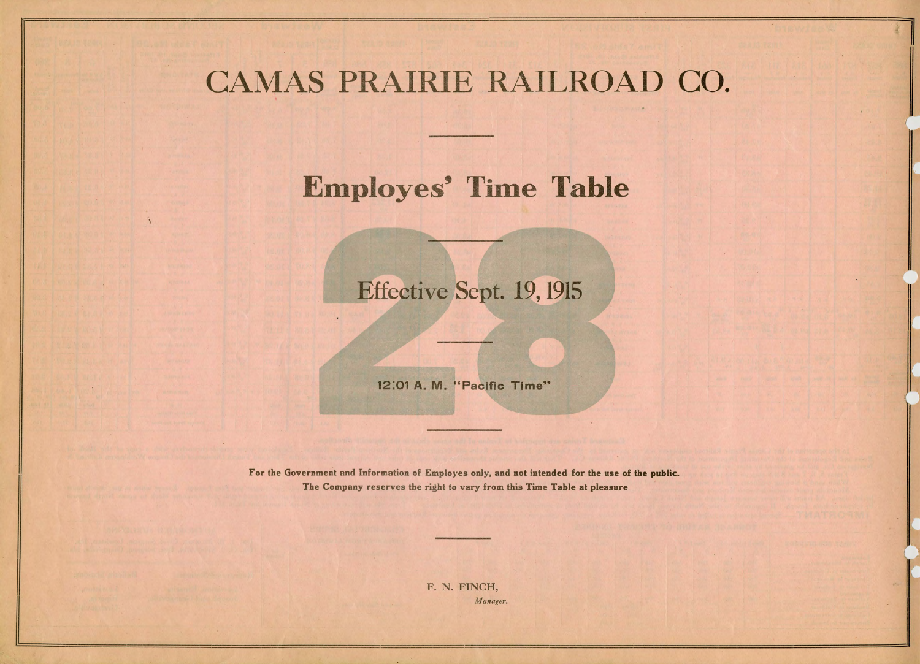## CAMAS PRAIRIE RAILROAD CO.

## Employes' Time Table

## **Effective Sept. 19, 1915**

12:01 A. M. "Pacific Time"

For the Government and Information of Employes only, and not intended for the use of the public. The Company reserves the right to vary from this Time Table at pleasure

> F. N. FINCH, *Manager.*